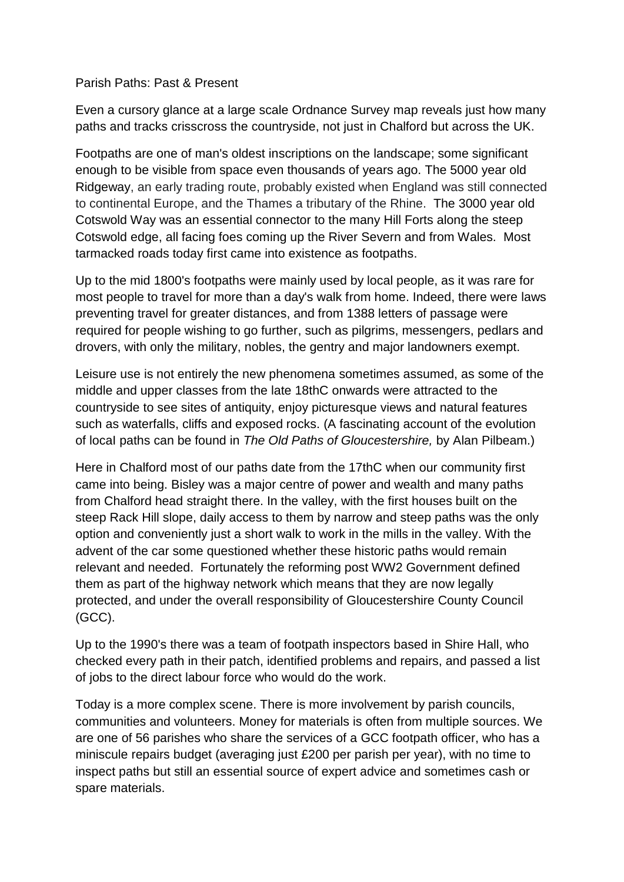## Parish Paths: Past & Present

Even a cursory glance at a large scale Ordnance Survey map reveals just how many paths and tracks crisscross the countryside, not just in Chalford but across the UK.

Footpaths are one of man's oldest inscriptions on the landscape; some significant enough to be visible from space even thousands of years ago. The 5000 year old Ridgeway, an early trading route, probably existed when England was still connected to continental Europe, and the Thames a tributary of the Rhine. The 3000 year old Cotswold Way was an essential connector to the many Hill Forts along the steep Cotswold edge, all facing foes coming up the River Severn and from Wales. Most tarmacked roads today first came into existence as footpaths.

Up to the mid 1800's footpaths were mainly used by local people, as it was rare for most people to travel for more than a day's walk from home. Indeed, there were laws preventing travel for greater distances, and from 1388 letters of passage were required for people wishing to go further, such as pilgrims, messengers, pedlars and drovers, with only the military, nobles, the gentry and major landowners exempt.

Leisure use is not entirely the new phenomena sometimes assumed, as some of the middle and upper classes from the late 18thC onwards were attracted to the countryside to see sites of antiquity, enjoy picturesque views and natural features such as waterfalls, cliffs and exposed rocks. (A fascinating account of the evolution of locaI paths can be found in *The Old Paths of Gloucestershire,* by Alan Pilbeam.)

Here in Chalford most of our paths date from the 17thC when our community first came into being. Bisley was a major centre of power and wealth and many paths from Chalford head straight there. In the valley, with the first houses built on the steep Rack Hill slope, daily access to them by narrow and steep paths was the only option and conveniently just a short walk to work in the mills in the valley. With the advent of the car some questioned whether these historic paths would remain relevant and needed. Fortunately the reforming post WW2 Government defined them as part of the highway network which means that they are now legally protected, and under the overall responsibility of Gloucestershire County Council (GCC).

Up to the 1990's there was a team of footpath inspectors based in Shire Hall, who checked every path in their patch, identified problems and repairs, and passed a list of jobs to the direct labour force who would do the work.

Today is a more complex scene. There is more involvement by parish councils, communities and volunteers. Money for materials is often from multiple sources. We are one of 56 parishes who share the services of a GCC footpath officer, who has a miniscule repairs budget (averaging just £200 per parish per year), with no time to inspect paths but still an essential source of expert advice and sometimes cash or spare materials.